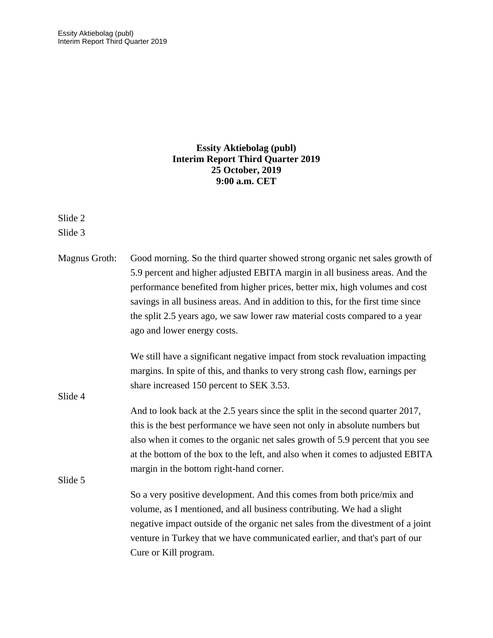# **Essity Aktiebolag (publ) Interim Report Third Quarter 2019 25 October, 2019 9:00 a.m. CET**

Slide 2

Slide 3

| Magnus Groth: | Good morning. So the third quarter showed strong organic net sales growth of     |
|---------------|----------------------------------------------------------------------------------|
|               | 5.9 percent and higher adjusted EBITA margin in all business areas. And the      |
|               | performance benefited from higher prices, better mix, high volumes and cost      |
|               | savings in all business areas. And in addition to this, for the first time since |
|               | the split 2.5 years ago, we saw lower raw material costs compared to a year      |
|               | ago and lower energy costs.                                                      |
|               | We still have a significant negative impact from stock revaluation impacting     |
|               | margins. In spite of this, and thanks to very strong cash flow, earnings per     |
|               | share increased 150 percent to SEK 3.53.                                         |
| Slide 4       |                                                                                  |
|               | And to look back at the 2.5 years since the split in the second quarter 2017,    |
|               | this is the best performance we have seen not only in absolute numbers but       |
|               | also when it comes to the organic net sales growth of 5.9 percent that you see   |
|               | at the bottom of the box to the left, and also when it comes to adjusted EBITA   |
|               | margin in the bottom right-hand corner.                                          |
| Slide 5       |                                                                                  |
|               | So a very positive development. And this comes from both price/mix and           |
|               | volume, as I mentioned, and all business contributing. We had a slight           |
|               | negative impact outside of the organic net sales from the divestment of a joint  |
|               | venture in Turkey that we have communicated earlier, and that's part of our      |
|               | Cure or Kill program.                                                            |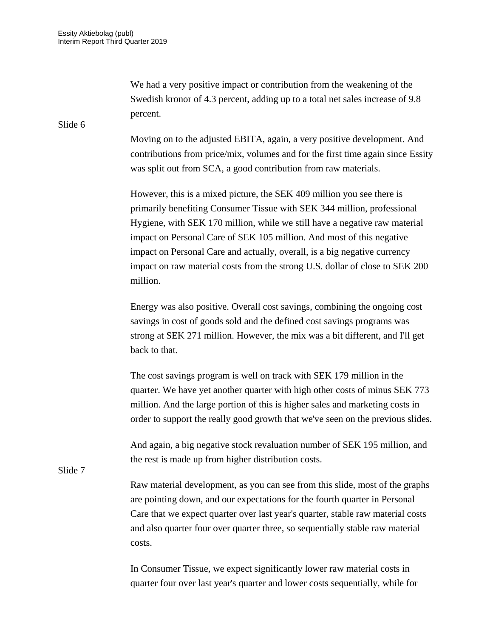We had a very positive impact or contribution from the weakening of the Swedish kronor of 4.3 percent, adding up to a total net sales increase of 9.8 percent.

Moving on to the adjusted EBITA, again, a very positive development. And contributions from price/mix, volumes and for the first time again since Essity was split out from SCA, a good contribution from raw materials.

However, this is a mixed picture, the SEK 409 million you see there is primarily benefiting Consumer Tissue with SEK 344 million, professional Hygiene, with SEK 170 million, while we still have a negative raw material impact on Personal Care of SEK 105 million. And most of this negative impact on Personal Care and actually, overall, is a big negative currency impact on raw material costs from the strong U.S. dollar of close to SEK 200 million.

Energy was also positive. Overall cost savings, combining the ongoing cost savings in cost of goods sold and the defined cost savings programs was strong at SEK 271 million. However, the mix was a bit different, and I'll get back to that.

The cost savings program is well on track with SEK 179 million in the quarter. We have yet another quarter with high other costs of minus SEK 773 million. And the large portion of this is higher sales and marketing costs in order to support the really good growth that we've seen on the previous slides.

And again, a big negative stock revaluation number of SEK 195 million, and the rest is made up from higher distribution costs.

Slide 7

Raw material development, as you can see from this slide, most of the graphs are pointing down, and our expectations for the fourth quarter in Personal Care that we expect quarter over last year's quarter, stable raw material costs and also quarter four over quarter three, so sequentially stable raw material costs.

In Consumer Tissue, we expect significantly lower raw material costs in quarter four over last year's quarter and lower costs sequentially, while for

Slide 6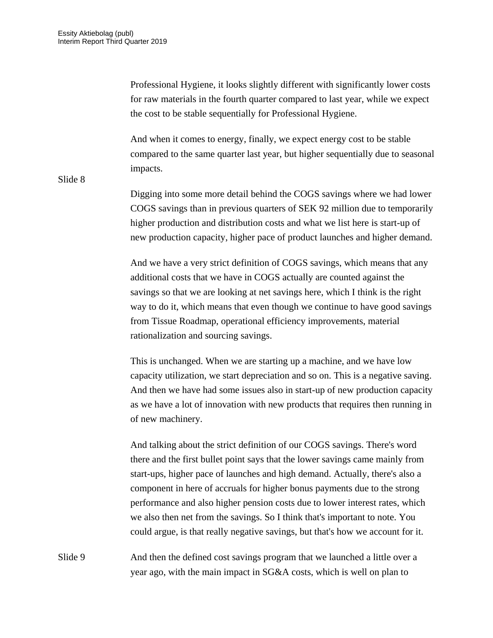Professional Hygiene, it looks slightly different with significantly lower costs for raw materials in the fourth quarter compared to last year, while we expect the cost to be stable sequentially for Professional Hygiene.

And when it comes to energy, finally, we expect energy cost to be stable compared to the same quarter last year, but higher sequentially due to seasonal impacts.

Slide 8

Digging into some more detail behind the COGS savings where we had lower COGS savings than in previous quarters of SEK 92 million due to temporarily higher production and distribution costs and what we list here is start-up of new production capacity, higher pace of product launches and higher demand.

And we have a very strict definition of COGS savings, which means that any additional costs that we have in COGS actually are counted against the savings so that we are looking at net savings here, which I think is the right way to do it, which means that even though we continue to have good savings from Tissue Roadmap, operational efficiency improvements, material rationalization and sourcing savings.

This is unchanged. When we are starting up a machine, and we have low capacity utilization, we start depreciation and so on. This is a negative saving. And then we have had some issues also in start-up of new production capacity as we have a lot of innovation with new products that requires then running in of new machinery.

And talking about the strict definition of our COGS savings. There's word there and the first bullet point says that the lower savings came mainly from start-ups, higher pace of launches and high demand. Actually, there's also a component in here of accruals for higher bonus payments due to the strong performance and also higher pension costs due to lower interest rates, which we also then net from the savings. So I think that's important to note. You could argue, is that really negative savings, but that's how we account for it.

Slide 9 And then the defined cost savings program that we launched a little over a year ago, with the main impact in SG&A costs, which is well on plan to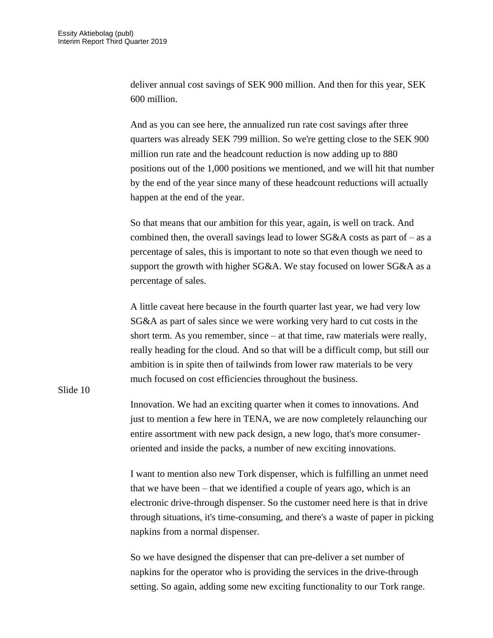deliver annual cost savings of SEK 900 million. And then for this year, SEK 600 million.

And as you can see here, the annualized run rate cost savings after three quarters was already SEK 799 million. So we're getting close to the SEK 900 million run rate and the headcount reduction is now adding up to 880 positions out of the 1,000 positions we mentioned, and we will hit that number by the end of the year since many of these headcount reductions will actually happen at the end of the year.

So that means that our ambition for this year, again, is well on track. And combined then, the overall savings lead to lower  $SG&A$  costs as part of – as a percentage of sales, this is important to note so that even though we need to support the growth with higher SG&A. We stay focused on lower SG&A as a percentage of sales.

A little caveat here because in the fourth quarter last year, we had very low SG&A as part of sales since we were working very hard to cut costs in the short term. As you remember, since – at that time, raw materials were really, really heading for the cloud. And so that will be a difficult comp, but still our ambition is in spite then of tailwinds from lower raw materials to be very much focused on cost efficiencies throughout the business.

Slide 10

Innovation. We had an exciting quarter when it comes to innovations. And just to mention a few here in TENA, we are now completely relaunching our entire assortment with new pack design, a new logo, that's more consumeroriented and inside the packs, a number of new exciting innovations.

I want to mention also new Tork dispenser, which is fulfilling an unmet need that we have been – that we identified a couple of years ago, which is an electronic drive-through dispenser. So the customer need here is that in drive through situations, it's time-consuming, and there's a waste of paper in picking napkins from a normal dispenser.

So we have designed the dispenser that can pre-deliver a set number of napkins for the operator who is providing the services in the drive-through setting. So again, adding some new exciting functionality to our Tork range.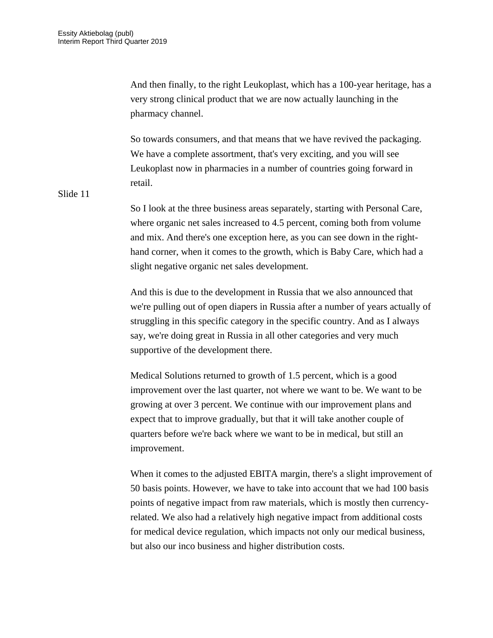And then finally, to the right Leukoplast, which has a 100-year heritage, has a very strong clinical product that we are now actually launching in the pharmacy channel.

So towards consumers, and that means that we have revived the packaging. We have a complete assortment, that's very exciting, and you will see Leukoplast now in pharmacies in a number of countries going forward in retail.

Slide 11

So I look at the three business areas separately, starting with Personal Care, where organic net sales increased to 4.5 percent, coming both from volume and mix. And there's one exception here, as you can see down in the righthand corner, when it comes to the growth, which is Baby Care, which had a slight negative organic net sales development.

And this is due to the development in Russia that we also announced that we're pulling out of open diapers in Russia after a number of years actually of struggling in this specific category in the specific country. And as I always say, we're doing great in Russia in all other categories and very much supportive of the development there.

Medical Solutions returned to growth of 1.5 percent, which is a good improvement over the last quarter, not where we want to be. We want to be growing at over 3 percent. We continue with our improvement plans and expect that to improve gradually, but that it will take another couple of quarters before we're back where we want to be in medical, but still an improvement.

When it comes to the adjusted EBITA margin, there's a slight improvement of 50 basis points. However, we have to take into account that we had 100 basis points of negative impact from raw materials, which is mostly then currencyrelated. We also had a relatively high negative impact from additional costs for medical device regulation, which impacts not only our medical business, but also our inco business and higher distribution costs.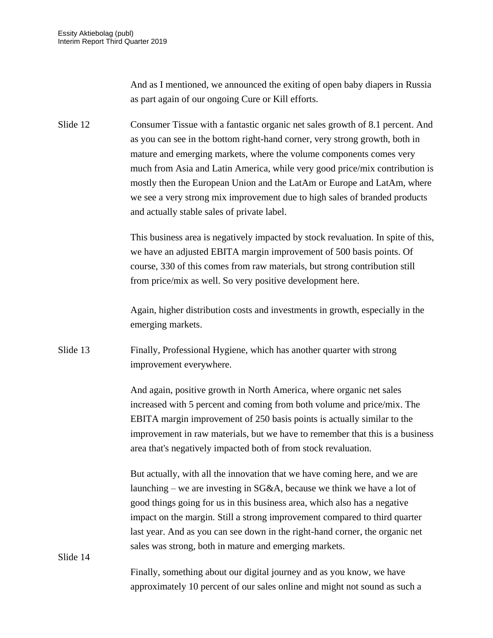And as I mentioned, we announced the exiting of open baby diapers in Russia as part again of our ongoing Cure or Kill efforts.

Slide 12 Consumer Tissue with a fantastic organic net sales growth of 8.1 percent. And as you can see in the bottom right-hand corner, very strong growth, both in mature and emerging markets, where the volume components comes very much from Asia and Latin America, while very good price/mix contribution is mostly then the European Union and the LatAm or Europe and LatAm, where we see a very strong mix improvement due to high sales of branded products and actually stable sales of private label.

> This business area is negatively impacted by stock revaluation. In spite of this, we have an adjusted EBITA margin improvement of 500 basis points. Of course, 330 of this comes from raw materials, but strong contribution still from price/mix as well. So very positive development here.

Again, higher distribution costs and investments in growth, especially in the emerging markets.

Slide 13 Finally, Professional Hygiene, which has another quarter with strong improvement everywhere.

> And again, positive growth in North America, where organic net sales increased with 5 percent and coming from both volume and price/mix. The EBITA margin improvement of 250 basis points is actually similar to the improvement in raw materials, but we have to remember that this is a business area that's negatively impacted both of from stock revaluation.

But actually, with all the innovation that we have coming here, and we are launching – we are investing in SG&A, because we think we have a lot of good things going for us in this business area, which also has a negative impact on the margin. Still a strong improvement compared to third quarter last year. And as you can see down in the right-hand corner, the organic net sales was strong, both in mature and emerging markets.

Slide 14

Finally, something about our digital journey and as you know, we have approximately 10 percent of our sales online and might not sound as such a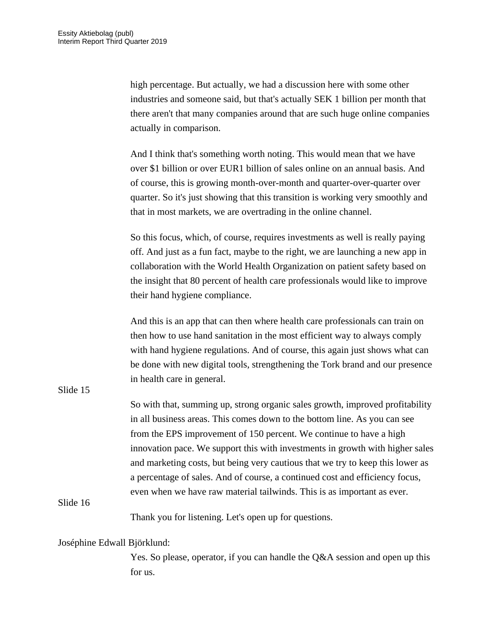high percentage. But actually, we had a discussion here with some other industries and someone said, but that's actually SEK 1 billion per month that there aren't that many companies around that are such huge online companies actually in comparison.

And I think that's something worth noting. This would mean that we have over \$1 billion or over EUR1 billion of sales online on an annual basis. And of course, this is growing month-over-month and quarter-over-quarter over quarter. So it's just showing that this transition is working very smoothly and that in most markets, we are overtrading in the online channel.

So this focus, which, of course, requires investments as well is really paying off. And just as a fun fact, maybe to the right, we are launching a new app in collaboration with the World Health Organization on patient safety based on the insight that 80 percent of health care professionals would like to improve their hand hygiene compliance.

And this is an app that can then where health care professionals can train on then how to use hand sanitation in the most efficient way to always comply with hand hygiene regulations. And of course, this again just shows what can be done with new digital tools, strengthening the Tork brand and our presence in health care in general.

Slide 15

So with that, summing up, strong organic sales growth, improved profitability in all business areas. This comes down to the bottom line. As you can see from the EPS improvement of 150 percent. We continue to have a high innovation pace. We support this with investments in growth with higher sales and marketing costs, but being very cautious that we try to keep this lower as a percentage of sales. And of course, a continued cost and efficiency focus, even when we have raw material tailwinds. This is as important as ever.

#### Slide 16

Thank you for listening. Let's open up for questions.

#### Joséphine Edwall Björklund:

Yes. So please, operator, if you can handle the Q&A session and open up this for us.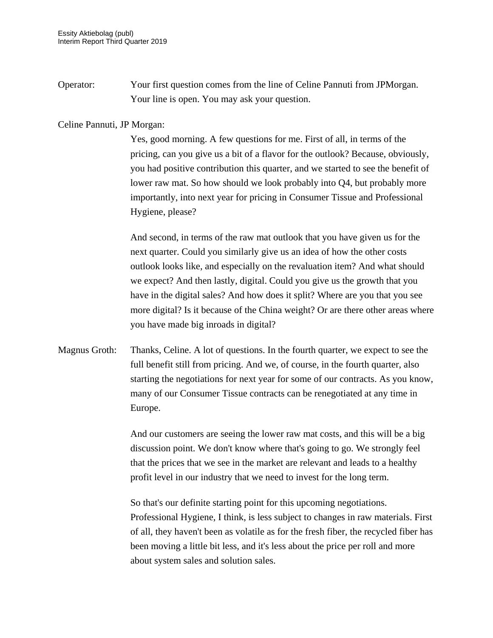Operator: Your first question comes from the line of Celine Pannuti from JPMorgan. Your line is open. You may ask your question.

### Celine Pannuti, JP Morgan:

Yes, good morning. A few questions for me. First of all, in terms of the pricing, can you give us a bit of a flavor for the outlook? Because, obviously, you had positive contribution this quarter, and we started to see the benefit of lower raw mat. So how should we look probably into Q4, but probably more importantly, into next year for pricing in Consumer Tissue and Professional Hygiene, please?

And second, in terms of the raw mat outlook that you have given us for the next quarter. Could you similarly give us an idea of how the other costs outlook looks like, and especially on the revaluation item? And what should we expect? And then lastly, digital. Could you give us the growth that you have in the digital sales? And how does it split? Where are you that you see more digital? Is it because of the China weight? Or are there other areas where you have made big inroads in digital?

Magnus Groth: Thanks, Celine. A lot of questions. In the fourth quarter, we expect to see the full benefit still from pricing. And we, of course, in the fourth quarter, also starting the negotiations for next year for some of our contracts. As you know, many of our Consumer Tissue contracts can be renegotiated at any time in Europe.

> And our customers are seeing the lower raw mat costs, and this will be a big discussion point. We don't know where that's going to go. We strongly feel that the prices that we see in the market are relevant and leads to a healthy profit level in our industry that we need to invest for the long term.

So that's our definite starting point for this upcoming negotiations. Professional Hygiene, I think, is less subject to changes in raw materials. First of all, they haven't been as volatile as for the fresh fiber, the recycled fiber has been moving a little bit less, and it's less about the price per roll and more about system sales and solution sales.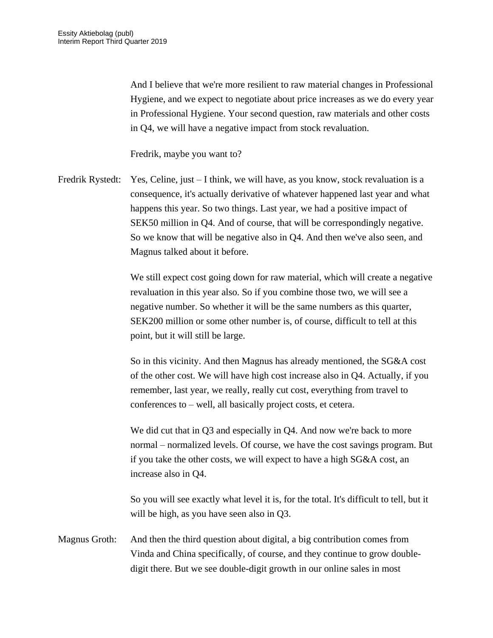And I believe that we're more resilient to raw material changes in Professional Hygiene, and we expect to negotiate about price increases as we do every year in Professional Hygiene. Your second question, raw materials and other costs in Q4, we will have a negative impact from stock revaluation.

Fredrik, maybe you want to?

Fredrik Rystedt: Yes, Celine, just – I think, we will have, as you know, stock revaluation is a consequence, it's actually derivative of whatever happened last year and what happens this year. So two things. Last year, we had a positive impact of SEK50 million in Q4. And of course, that will be correspondingly negative. So we know that will be negative also in Q4. And then we've also seen, and Magnus talked about it before.

> We still expect cost going down for raw material, which will create a negative revaluation in this year also. So if you combine those two, we will see a negative number. So whether it will be the same numbers as this quarter, SEK200 million or some other number is, of course, difficult to tell at this point, but it will still be large.

So in this vicinity. And then Magnus has already mentioned, the SG&A cost of the other cost. We will have high cost increase also in Q4. Actually, if you remember, last year, we really, really cut cost, everything from travel to conferences to – well, all basically project costs, et cetera.

We did cut that in O3 and especially in O4. And now we're back to more normal – normalized levels. Of course, we have the cost savings program. But if you take the other costs, we will expect to have a high SG&A cost, an increase also in Q4.

So you will see exactly what level it is, for the total. It's difficult to tell, but it will be high, as you have seen also in Q3.

Magnus Groth: And then the third question about digital, a big contribution comes from Vinda and China specifically, of course, and they continue to grow doubledigit there. But we see double-digit growth in our online sales in most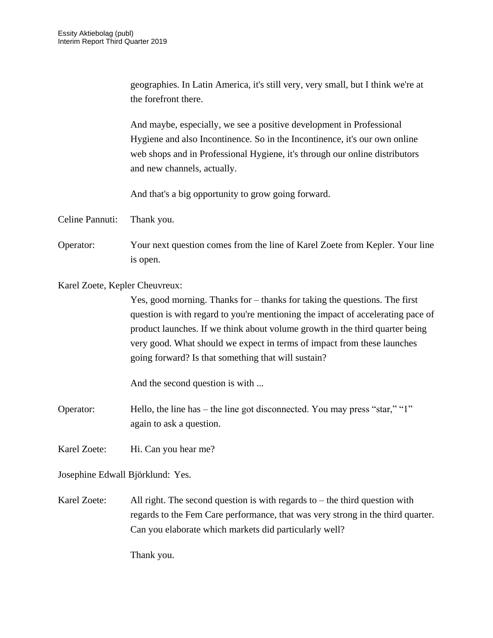geographies. In Latin America, it's still very, very small, but I think we're at the forefront there.

And maybe, especially, we see a positive development in Professional Hygiene and also Incontinence. So in the Incontinence, it's our own online web shops and in Professional Hygiene, it's through our online distributors and new channels, actually.

And that's a big opportunity to grow going forward.

Celine Pannuti: Thank you.

Operator: Your next question comes from the line of Karel Zoete from Kepler. Your line is open.

Karel Zoete, Kepler Cheuvreux:

Yes, good morning. Thanks for – thanks for taking the questions. The first question is with regard to you're mentioning the impact of accelerating pace of product launches. If we think about volume growth in the third quarter being very good. What should we expect in terms of impact from these launches going forward? Is that something that will sustain?

And the second question is with ...

Operator: Hello, the line has – the line got disconnected. You may press "star," "1" again to ask a question.

Karel Zoete: Hi. Can you hear me?

Josephine Edwall Björklund: Yes.

Karel Zoete: All right. The second question is with regards to  $-$  the third question with regards to the Fem Care performance, that was very strong in the third quarter. Can you elaborate which markets did particularly well?

Thank you.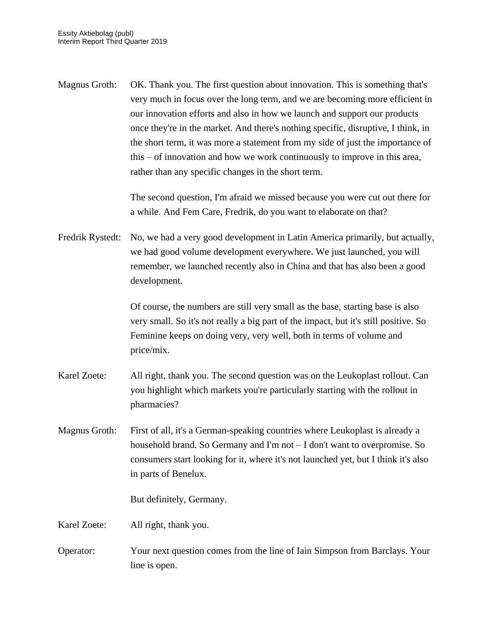Magnus Groth: OK. Thank you. The first question about innovation. This is something that's very much in focus over the long term, and we are becoming more efficient in our innovation efforts and also in how we launch and support our products once they're in the market. And there's nothing specific, disruptive, I think, in the short term, it was more a statement from my side of just the importance of this – of innovation and how we work continuously to improve in this area, rather than any specific changes in the short term.

> The second question, I'm afraid we missed because you were cut out there for a while. And Fem Care, Fredrik, do you want to elaborate on that?

Fredrik Rystedt: No, we had a very good development in Latin America primarily, but actually, we had good volume development everywhere. We just launched, you will remember, we launched recently also in China and that has also been a good development.

> Of course, the numbers are still very small as the base, starting base is also very small. So it's not really a big part of the impact, but it's still positive. So Feminine keeps on doing very, very well, both in terms of volume and price/mix.

- Karel Zoete: All right, thank you. The second question was on the Leukoplast rollout. Can you highlight which markets you're particularly starting with the rollout in pharmacies?
- Magnus Groth: First of all, it's a German-speaking countries where Leukoplast is already a household brand. So Germany and I'm not – I don't want to overpromise. So consumers start looking for it, where it's not launched yet, but I think it's also in parts of Benelux.

But definitely, Germany.

Karel Zoete: All right, thank you.

Operator: Your next question comes from the line of Iain Simpson from Barclays. Your line is open.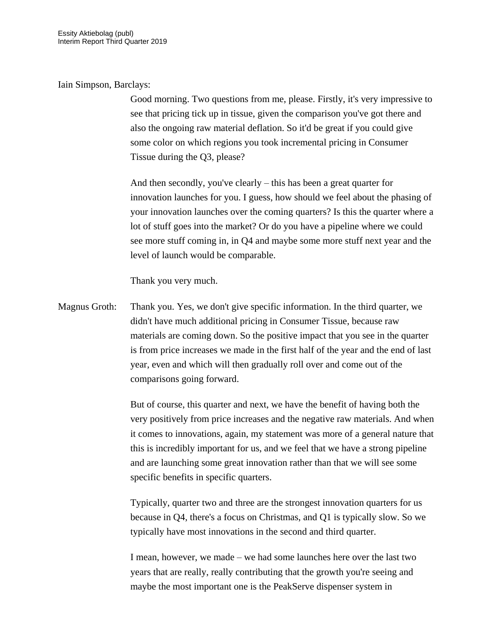## Iain Simpson, Barclays:

Good morning. Two questions from me, please. Firstly, it's very impressive to see that pricing tick up in tissue, given the comparison you've got there and also the ongoing raw material deflation. So it'd be great if you could give some color on which regions you took incremental pricing in Consumer Tissue during the Q3, please?

And then secondly, you've clearly – this has been a great quarter for innovation launches for you. I guess, how should we feel about the phasing of your innovation launches over the coming quarters? Is this the quarter where a lot of stuff goes into the market? Or do you have a pipeline where we could see more stuff coming in, in Q4 and maybe some more stuff next year and the level of launch would be comparable.

Thank you very much.

Magnus Groth: Thank you. Yes, we don't give specific information. In the third quarter, we didn't have much additional pricing in Consumer Tissue, because raw materials are coming down. So the positive impact that you see in the quarter is from price increases we made in the first half of the year and the end of last year, even and which will then gradually roll over and come out of the comparisons going forward.

> But of course, this quarter and next, we have the benefit of having both the very positively from price increases and the negative raw materials. And when it comes to innovations, again, my statement was more of a general nature that this is incredibly important for us, and we feel that we have a strong pipeline and are launching some great innovation rather than that we will see some specific benefits in specific quarters.

Typically, quarter two and three are the strongest innovation quarters for us because in Q4, there's a focus on Christmas, and Q1 is typically slow. So we typically have most innovations in the second and third quarter.

I mean, however, we made – we had some launches here over the last two years that are really, really contributing that the growth you're seeing and maybe the most important one is the PeakServe dispenser system in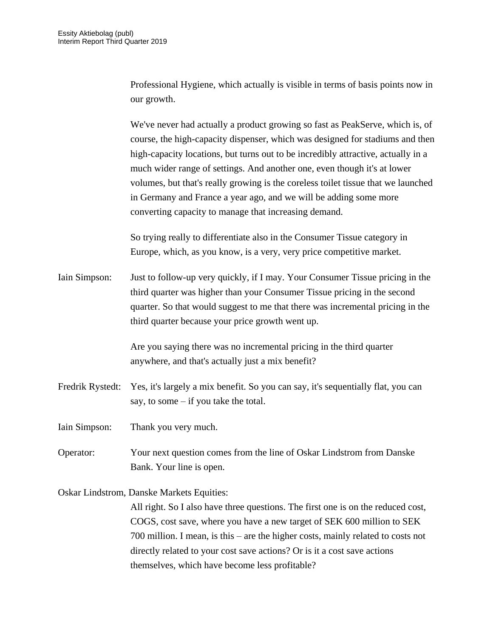Professional Hygiene, which actually is visible in terms of basis points now in our growth.

We've never had actually a product growing so fast as PeakServe, which is, of course, the high-capacity dispenser, which was designed for stadiums and then high-capacity locations, but turns out to be incredibly attractive, actually in a much wider range of settings. And another one, even though it's at lower volumes, but that's really growing is the coreless toilet tissue that we launched in Germany and France a year ago, and we will be adding some more converting capacity to manage that increasing demand.

So trying really to differentiate also in the Consumer Tissue category in Europe, which, as you know, is a very, very price competitive market.

Iain Simpson: Just to follow-up very quickly, if I may. Your Consumer Tissue pricing in the third quarter was higher than your Consumer Tissue pricing in the second quarter. So that would suggest to me that there was incremental pricing in the third quarter because your price growth went up.

> Are you saying there was no incremental pricing in the third quarter anywhere, and that's actually just a mix benefit?

- Fredrik Rystedt: Yes, it's largely a mix benefit. So you can say, it's sequentially flat, you can say, to some – if you take the total.
- Iain Simpson: Thank you very much.
- Operator: Your next question comes from the line of Oskar Lindstrom from Danske Bank. Your line is open.

Oskar Lindstrom, Danske Markets Equities:

All right. So I also have three questions. The first one is on the reduced cost, COGS, cost save, where you have a new target of SEK 600 million to SEK 700 million. I mean, is this – are the higher costs, mainly related to costs not directly related to your cost save actions? Or is it a cost save actions themselves, which have become less profitable?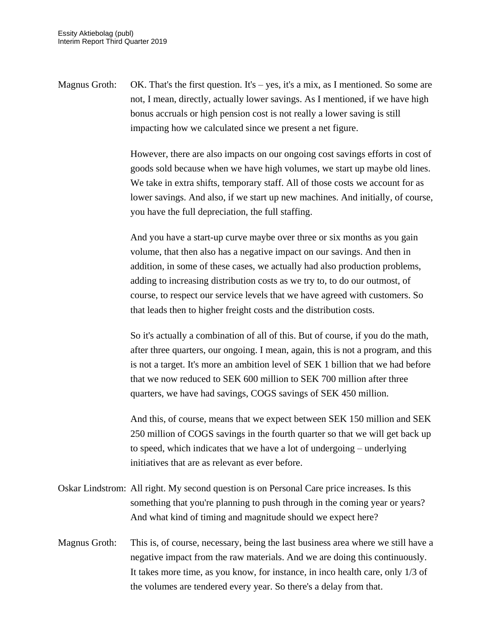Magnus Groth: OK. That's the first question. It's – yes, it's a mix, as I mentioned. So some are not, I mean, directly, actually lower savings. As I mentioned, if we have high bonus accruals or high pension cost is not really a lower saving is still impacting how we calculated since we present a net figure.

> However, there are also impacts on our ongoing cost savings efforts in cost of goods sold because when we have high volumes, we start up maybe old lines. We take in extra shifts, temporary staff. All of those costs we account for as lower savings. And also, if we start up new machines. And initially, of course, you have the full depreciation, the full staffing.

And you have a start-up curve maybe over three or six months as you gain volume, that then also has a negative impact on our savings. And then in addition, in some of these cases, we actually had also production problems, adding to increasing distribution costs as we try to, to do our outmost, of course, to respect our service levels that we have agreed with customers. So that leads then to higher freight costs and the distribution costs.

So it's actually a combination of all of this. But of course, if you do the math, after three quarters, our ongoing. I mean, again, this is not a program, and this is not a target. It's more an ambition level of SEK 1 billion that we had before that we now reduced to SEK 600 million to SEK 700 million after three quarters, we have had savings, COGS savings of SEK 450 million.

And this, of course, means that we expect between SEK 150 million and SEK 250 million of COGS savings in the fourth quarter so that we will get back up to speed, which indicates that we have a lot of undergoing – underlying initiatives that are as relevant as ever before.

- Oskar Lindstrom: All right. My second question is on Personal Care price increases. Is this something that you're planning to push through in the coming year or years? And what kind of timing and magnitude should we expect here?
- Magnus Groth: This is, of course, necessary, being the last business area where we still have a negative impact from the raw materials. And we are doing this continuously. It takes more time, as you know, for instance, in inco health care, only 1/3 of the volumes are tendered every year. So there's a delay from that.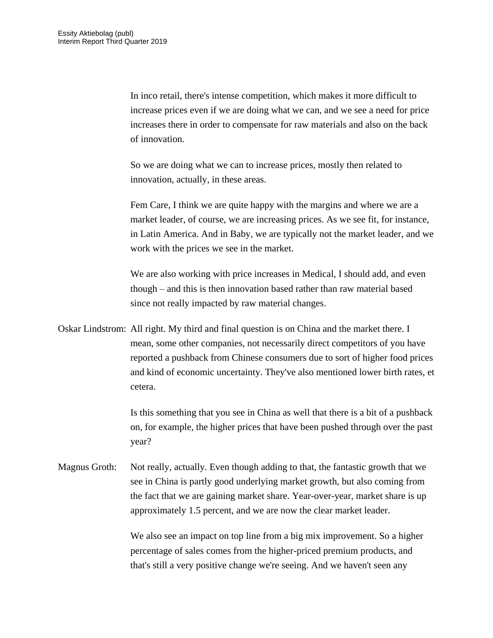In inco retail, there's intense competition, which makes it more difficult to increase prices even if we are doing what we can, and we see a need for price increases there in order to compensate for raw materials and also on the back of innovation.

So we are doing what we can to increase prices, mostly then related to innovation, actually, in these areas.

Fem Care, I think we are quite happy with the margins and where we are a market leader, of course, we are increasing prices. As we see fit, for instance, in Latin America. And in Baby, we are typically not the market leader, and we work with the prices we see in the market.

We are also working with price increases in Medical, I should add, and even though – and this is then innovation based rather than raw material based since not really impacted by raw material changes.

Oskar Lindstrom: All right. My third and final question is on China and the market there. I mean, some other companies, not necessarily direct competitors of you have reported a pushback from Chinese consumers due to sort of higher food prices and kind of economic uncertainty. They've also mentioned lower birth rates, et cetera.

> Is this something that you see in China as well that there is a bit of a pushback on, for example, the higher prices that have been pushed through over the past year?

Magnus Groth: Not really, actually. Even though adding to that, the fantastic growth that we see in China is partly good underlying market growth, but also coming from the fact that we are gaining market share. Year-over-year, market share is up approximately 1.5 percent, and we are now the clear market leader.

> We also see an impact on top line from a big mix improvement. So a higher percentage of sales comes from the higher-priced premium products, and that's still a very positive change we're seeing. And we haven't seen any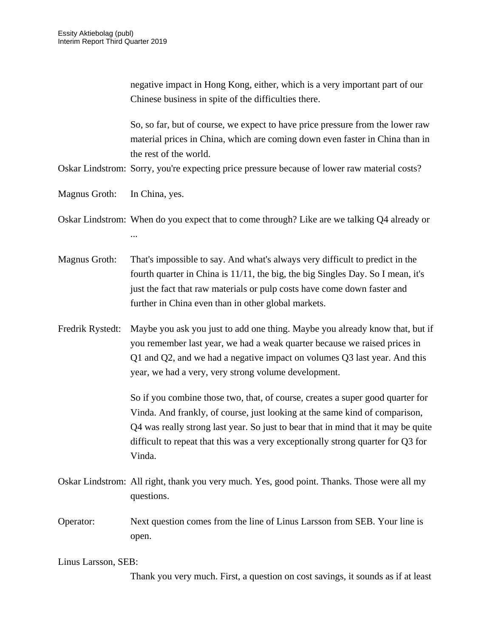|                     | negative impact in Hong Kong, either, which is a very important part of our<br>Chinese business in spite of the difficulties there.                                                                                                                                                                                                              |
|---------------------|--------------------------------------------------------------------------------------------------------------------------------------------------------------------------------------------------------------------------------------------------------------------------------------------------------------------------------------------------|
|                     | So, so far, but of course, we expect to have price pressure from the lower raw<br>material prices in China, which are coming down even faster in China than in<br>the rest of the world.<br>Oskar Lindstrom: Sorry, you're expecting price pressure because of lower raw material costs?                                                         |
| Magnus Groth:       | In China, yes.                                                                                                                                                                                                                                                                                                                                   |
|                     | Oskar Lindstrom: When do you expect that to come through? Like are we talking Q4 already or                                                                                                                                                                                                                                                      |
| Magnus Groth:       | That's impossible to say. And what's always very difficult to predict in the<br>fourth quarter in China is 11/11, the big, the big Singles Day. So I mean, it's<br>just the fact that raw materials or pulp costs have come down faster and<br>further in China even than in other global markets.                                               |
| Fredrik Rystedt:    | Maybe you ask you just to add one thing. Maybe you already know that, but if<br>you remember last year, we had a weak quarter because we raised prices in<br>Q1 and Q2, and we had a negative impact on volumes Q3 last year. And this<br>year, we had a very, very strong volume development.                                                   |
|                     | So if you combine those two, that, of course, creates a super good quarter for<br>Vinda. And frankly, of course, just looking at the same kind of comparison,<br>Q4 was really strong last year. So just to bear that in mind that it may be quite<br>difficult to repeat that this was a very exceptionally strong quarter for Q3 for<br>Vinda. |
|                     | Oskar Lindstrom: All right, thank you very much. Yes, good point. Thanks. Those were all my<br>questions.                                                                                                                                                                                                                                        |
| Operator:           | Next question comes from the line of Linus Larsson from SEB. Your line is<br>open.                                                                                                                                                                                                                                                               |
| Linus Larsson, SEB: | Thank you very much. First, a question on cost savings, it sounds as if at least                                                                                                                                                                                                                                                                 |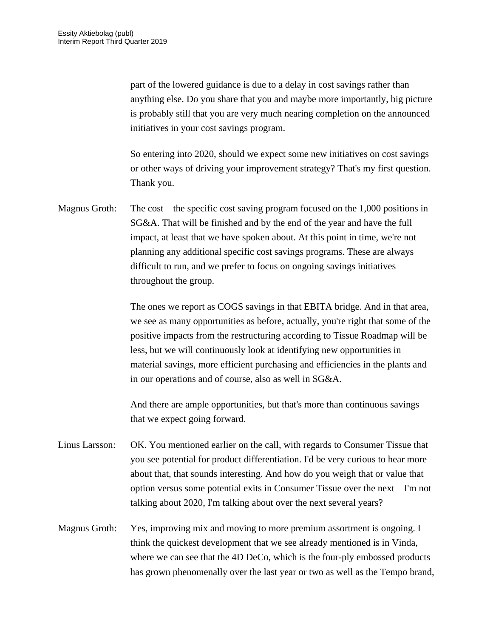part of the lowered guidance is due to a delay in cost savings rather than anything else. Do you share that you and maybe more importantly, big picture is probably still that you are very much nearing completion on the announced initiatives in your cost savings program.

So entering into 2020, should we expect some new initiatives on cost savings or other ways of driving your improvement strategy? That's my first question. Thank you.

Magnus Groth: The cost – the specific cost saving program focused on the 1,000 positions in SG&A. That will be finished and by the end of the year and have the full impact, at least that we have spoken about. At this point in time, we're not planning any additional specific cost savings programs. These are always difficult to run, and we prefer to focus on ongoing savings initiatives throughout the group.

> The ones we report as COGS savings in that EBITA bridge. And in that area, we see as many opportunities as before, actually, you're right that some of the positive impacts from the restructuring according to Tissue Roadmap will be less, but we will continuously look at identifying new opportunities in material savings, more efficient purchasing and efficiencies in the plants and in our operations and of course, also as well in SG&A.

And there are ample opportunities, but that's more than continuous savings that we expect going forward.

- Linus Larsson: OK. You mentioned earlier on the call, with regards to Consumer Tissue that you see potential for product differentiation. I'd be very curious to hear more about that, that sounds interesting. And how do you weigh that or value that option versus some potential exits in Consumer Tissue over the next – I'm not talking about 2020, I'm talking about over the next several years?
- Magnus Groth: Yes, improving mix and moving to more premium assortment is ongoing. I think the quickest development that we see already mentioned is in Vinda, where we can see that the 4D DeCo, which is the four-ply embossed products has grown phenomenally over the last year or two as well as the Tempo brand,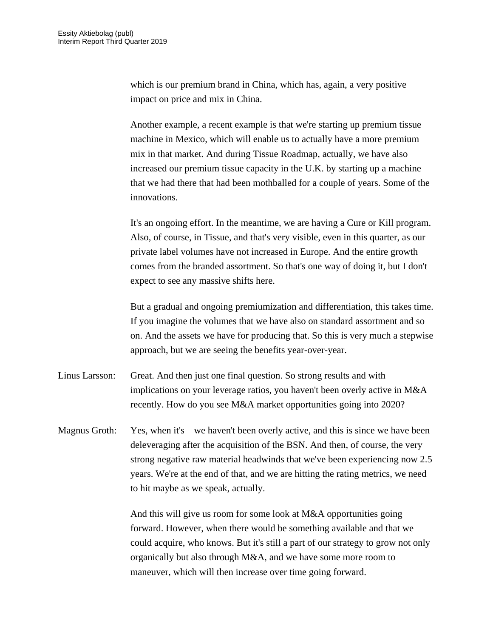which is our premium brand in China, which has, again, a very positive impact on price and mix in China.

Another example, a recent example is that we're starting up premium tissue machine in Mexico, which will enable us to actually have a more premium mix in that market. And during Tissue Roadmap, actually, we have also increased our premium tissue capacity in the U.K. by starting up a machine that we had there that had been mothballed for a couple of years. Some of the innovations.

It's an ongoing effort. In the meantime, we are having a Cure or Kill program. Also, of course, in Tissue, and that's very visible, even in this quarter, as our private label volumes have not increased in Europe. And the entire growth comes from the branded assortment. So that's one way of doing it, but I don't expect to see any massive shifts here.

But a gradual and ongoing premiumization and differentiation, this takes time. If you imagine the volumes that we have also on standard assortment and so on. And the assets we have for producing that. So this is very much a stepwise approach, but we are seeing the benefits year-over-year.

- Linus Larsson: Great. And then just one final question. So strong results and with implications on your leverage ratios, you haven't been overly active in M&A recently. How do you see M&A market opportunities going into 2020?
- Magnus Groth: Yes, when it's we haven't been overly active, and this is since we have been deleveraging after the acquisition of the BSN. And then, of course, the very strong negative raw material headwinds that we've been experiencing now 2.5 years. We're at the end of that, and we are hitting the rating metrics, we need to hit maybe as we speak, actually.

And this will give us room for some look at M&A opportunities going forward. However, when there would be something available and that we could acquire, who knows. But it's still a part of our strategy to grow not only organically but also through M&A, and we have some more room to maneuver, which will then increase over time going forward.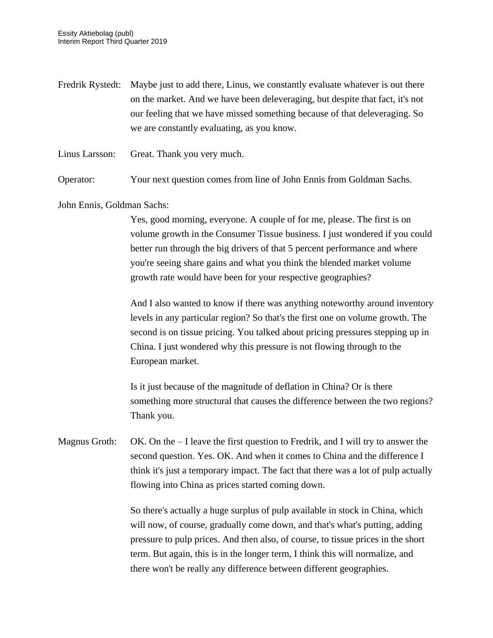- Fredrik Rystedt: Maybe just to add there, Linus, we constantly evaluate whatever is out there on the market. And we have been deleveraging, but despite that fact, it's not our feeling that we have missed something because of that deleveraging. So we are constantly evaluating, as you know.
- Linus Larsson: Great. Thank you very much.

Operator: Your next question comes from line of John Ennis from Goldman Sachs.

John Ennis, Goldman Sachs:

Yes, good morning, everyone. A couple of for me, please. The first is on volume growth in the Consumer Tissue business. I just wondered if you could better run through the big drivers of that 5 percent performance and where you're seeing share gains and what you think the blended market volume growth rate would have been for your respective geographies?

And I also wanted to know if there was anything noteworthy around inventory levels in any particular region? So that's the first one on volume growth. The second is on tissue pricing. You talked about pricing pressures stepping up in China. I just wondered why this pressure is not flowing through to the European market.

Is it just because of the magnitude of deflation in China? Or is there something more structural that causes the difference between the two regions? Thank you.

Magnus Groth: OK. On the  $-I$  leave the first question to Fredrik, and I will try to answer the second question. Yes. OK. And when it comes to China and the difference I think it's just a temporary impact. The fact that there was a lot of pulp actually flowing into China as prices started coming down.

> So there's actually a huge surplus of pulp available in stock in China, which will now, of course, gradually come down, and that's what's putting, adding pressure to pulp prices. And then also, of course, to tissue prices in the short term. But again, this is in the longer term, I think this will normalize, and there won't be really any difference between different geographies.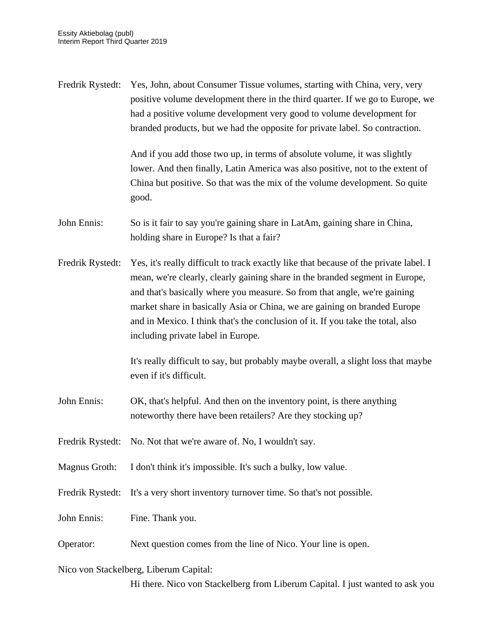| Fredrik Rystedt: | Yes, John, about Consumer Tissue volumes, starting with China, very, very<br>positive volume development there in the third quarter. If we go to Europe, we<br>had a positive volume development very good to volume development for<br>branded products, but we had the opposite for private label. So contraction.                                                                                                                                     |
|------------------|----------------------------------------------------------------------------------------------------------------------------------------------------------------------------------------------------------------------------------------------------------------------------------------------------------------------------------------------------------------------------------------------------------------------------------------------------------|
|                  | And if you add those two up, in terms of absolute volume, it was slightly<br>lower. And then finally, Latin America was also positive, not to the extent of<br>China but positive. So that was the mix of the volume development. So quite<br>good.                                                                                                                                                                                                      |
| John Ennis:      | So is it fair to say you're gaining share in LatAm, gaining share in China,<br>holding share in Europe? Is that a fair?                                                                                                                                                                                                                                                                                                                                  |
| Fredrik Rystedt: | Yes, it's really difficult to track exactly like that because of the private label. I<br>mean, we're clearly, clearly gaining share in the branded segment in Europe,<br>and that's basically where you measure. So from that angle, we're gaining<br>market share in basically Asia or China, we are gaining on branded Europe<br>and in Mexico. I think that's the conclusion of it. If you take the total, also<br>including private label in Europe. |
|                  | It's really difficult to say, but probably maybe overall, a slight loss that maybe<br>even if it's difficult.                                                                                                                                                                                                                                                                                                                                            |
| John Ennis:      | OK, that's helpful. And then on the inventory point, is there anything<br>noteworthy there have been retailers? Are they stocking up?                                                                                                                                                                                                                                                                                                                    |
| Fredrik Rystedt: | No. Not that we're aware of. No, I wouldn't say.                                                                                                                                                                                                                                                                                                                                                                                                         |
| Magnus Groth:    | I don't think it's impossible. It's such a bulky, low value.                                                                                                                                                                                                                                                                                                                                                                                             |
| Fredrik Rystedt: | It's a very short inventory turnover time. So that's not possible.                                                                                                                                                                                                                                                                                                                                                                                       |
| John Ennis:      | Fine. Thank you.                                                                                                                                                                                                                                                                                                                                                                                                                                         |
| Operator:        | Next question comes from the line of Nico. Your line is open.                                                                                                                                                                                                                                                                                                                                                                                            |
|                  | Nico von Stackelberg, Liberum Capital:                                                                                                                                                                                                                                                                                                                                                                                                                   |

Hi there. Nico von Stackelberg from Liberum Capital. I just wanted to ask you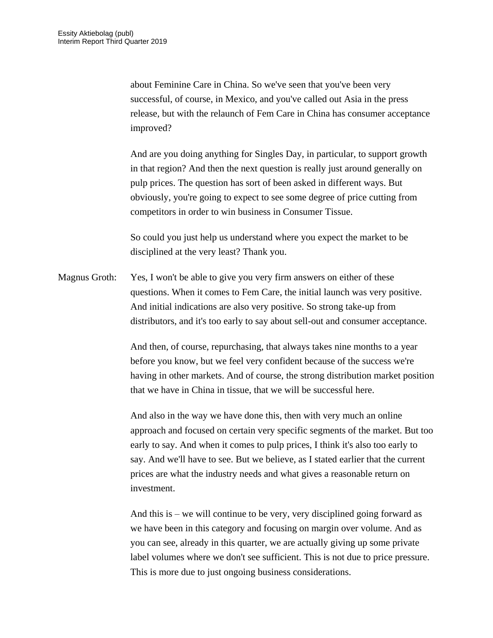about Feminine Care in China. So we've seen that you've been very successful, of course, in Mexico, and you've called out Asia in the press release, but with the relaunch of Fem Care in China has consumer acceptance improved?

And are you doing anything for Singles Day, in particular, to support growth in that region? And then the next question is really just around generally on pulp prices. The question has sort of been asked in different ways. But obviously, you're going to expect to see some degree of price cutting from competitors in order to win business in Consumer Tissue.

So could you just help us understand where you expect the market to be disciplined at the very least? Thank you.

Magnus Groth: Yes, I won't be able to give you very firm answers on either of these questions. When it comes to Fem Care, the initial launch was very positive. And initial indications are also very positive. So strong take-up from distributors, and it's too early to say about sell-out and consumer acceptance.

> And then, of course, repurchasing, that always takes nine months to a year before you know, but we feel very confident because of the success we're having in other markets. And of course, the strong distribution market position that we have in China in tissue, that we will be successful here.

> And also in the way we have done this, then with very much an online approach and focused on certain very specific segments of the market. But too early to say. And when it comes to pulp prices, I think it's also too early to say. And we'll have to see. But we believe, as I stated earlier that the current prices are what the industry needs and what gives a reasonable return on investment.

And this is – we will continue to be very, very disciplined going forward as we have been in this category and focusing on margin over volume. And as you can see, already in this quarter, we are actually giving up some private label volumes where we don't see sufficient. This is not due to price pressure. This is more due to just ongoing business considerations.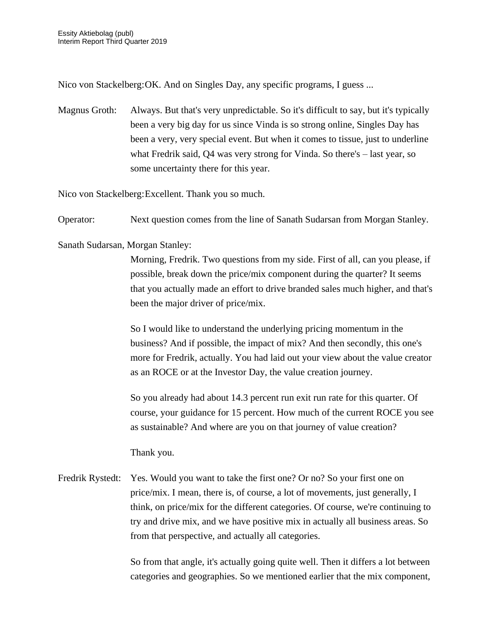Nico von Stackelberg:OK. And on Singles Day, any specific programs, I guess ...

Magnus Groth: Always. But that's very unpredictable. So it's difficult to say, but it's typically been a very big day for us since Vinda is so strong online, Singles Day has been a very, very special event. But when it comes to tissue, just to underline what Fredrik said, Q4 was very strong for Vinda. So there's – last year, so some uncertainty there for this year.

Nico von Stackelberg:Excellent. Thank you so much.

Operator: Next question comes from the line of Sanath Sudarsan from Morgan Stanley.

Sanath Sudarsan, Morgan Stanley:

Morning, Fredrik. Two questions from my side. First of all, can you please, if possible, break down the price/mix component during the quarter? It seems that you actually made an effort to drive branded sales much higher, and that's been the major driver of price/mix.

So I would like to understand the underlying pricing momentum in the business? And if possible, the impact of mix? And then secondly, this one's more for Fredrik, actually. You had laid out your view about the value creator as an ROCE or at the Investor Day, the value creation journey.

So you already had about 14.3 percent run exit run rate for this quarter. Of course, your guidance for 15 percent. How much of the current ROCE you see as sustainable? And where are you on that journey of value creation?

Thank you.

Fredrik Rystedt: Yes. Would you want to take the first one? Or no? So your first one on price/mix. I mean, there is, of course, a lot of movements, just generally, I think, on price/mix for the different categories. Of course, we're continuing to try and drive mix, and we have positive mix in actually all business areas. So from that perspective, and actually all categories.

> So from that angle, it's actually going quite well. Then it differs a lot between categories and geographies. So we mentioned earlier that the mix component,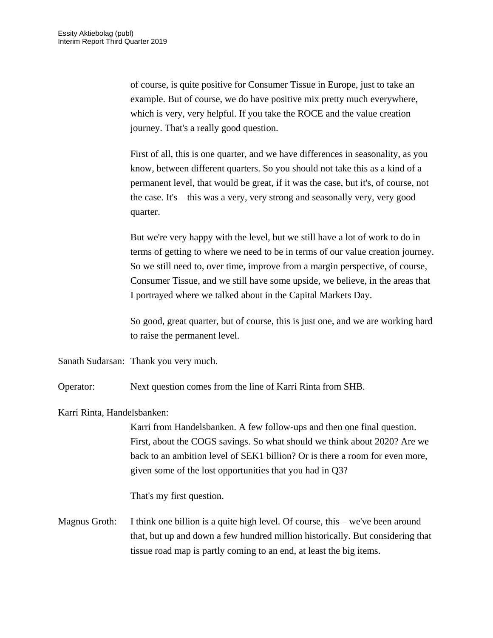of course, is quite positive for Consumer Tissue in Europe, just to take an example. But of course, we do have positive mix pretty much everywhere, which is very, very helpful. If you take the ROCE and the value creation journey. That's a really good question.

First of all, this is one quarter, and we have differences in seasonality, as you know, between different quarters. So you should not take this as a kind of a permanent level, that would be great, if it was the case, but it's, of course, not the case. It's – this was a very, very strong and seasonally very, very good quarter.

But we're very happy with the level, but we still have a lot of work to do in terms of getting to where we need to be in terms of our value creation journey. So we still need to, over time, improve from a margin perspective, of course, Consumer Tissue, and we still have some upside, we believe, in the areas that I portrayed where we talked about in the Capital Markets Day.

So good, great quarter, but of course, this is just one, and we are working hard to raise the permanent level.

Sanath Sudarsan: Thank you very much.

Operator: Next question comes from the line of Karri Rinta from SHB.

Karri Rinta, Handelsbanken:

Karri from Handelsbanken. A few follow-ups and then one final question. First, about the COGS savings. So what should we think about 2020? Are we back to an ambition level of SEK1 billion? Or is there a room for even more, given some of the lost opportunities that you had in Q3?

That's my first question.

Magnus Groth: I think one billion is a quite high level. Of course, this – we've been around that, but up and down a few hundred million historically. But considering that tissue road map is partly coming to an end, at least the big items.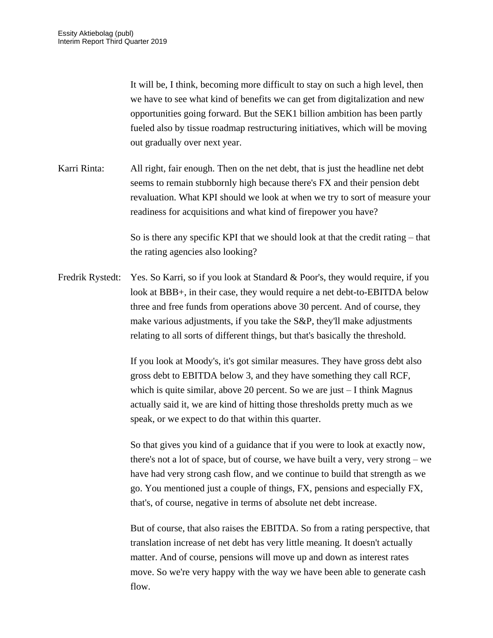It will be, I think, becoming more difficult to stay on such a high level, then we have to see what kind of benefits we can get from digitalization and new opportunities going forward. But the SEK1 billion ambition has been partly fueled also by tissue roadmap restructuring initiatives, which will be moving out gradually over next year.

Karri Rinta: All right, fair enough. Then on the net debt, that is just the headline net debt seems to remain stubbornly high because there's FX and their pension debt revaluation. What KPI should we look at when we try to sort of measure your readiness for acquisitions and what kind of firepower you have?

> So is there any specific KPI that we should look at that the credit rating – that the rating agencies also looking?

Fredrik Rystedt: Yes. So Karri, so if you look at Standard & Poor's, they would require, if you look at BBB+, in their case, they would require a net debt-to-EBITDA below three and free funds from operations above 30 percent. And of course, they make various adjustments, if you take the S&P, they'll make adjustments relating to all sorts of different things, but that's basically the threshold.

> If you look at Moody's, it's got similar measures. They have gross debt also gross debt to EBITDA below 3, and they have something they call RCF, which is quite similar, above 20 percent. So we are just – I think Magnus actually said it, we are kind of hitting those thresholds pretty much as we speak, or we expect to do that within this quarter.

So that gives you kind of a guidance that if you were to look at exactly now, there's not a lot of space, but of course, we have built a very, very strong – we have had very strong cash flow, and we continue to build that strength as we go. You mentioned just a couple of things, FX, pensions and especially FX, that's, of course, negative in terms of absolute net debt increase.

But of course, that also raises the EBITDA. So from a rating perspective, that translation increase of net debt has very little meaning. It doesn't actually matter. And of course, pensions will move up and down as interest rates move. So we're very happy with the way we have been able to generate cash flow.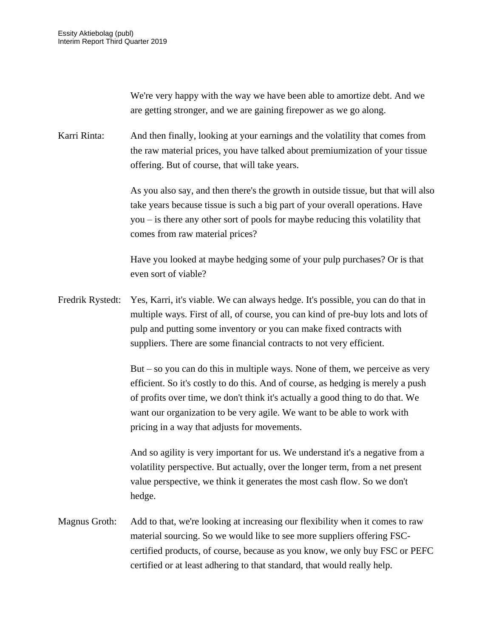We're very happy with the way we have been able to amortize debt. And we are getting stronger, and we are gaining firepower as we go along.

Karri Rinta: And then finally, looking at your earnings and the volatility that comes from the raw material prices, you have talked about premiumization of your tissue offering. But of course, that will take years.

> As you also say, and then there's the growth in outside tissue, but that will also take years because tissue is such a big part of your overall operations. Have you – is there any other sort of pools for maybe reducing this volatility that comes from raw material prices?

Have you looked at maybe hedging some of your pulp purchases? Or is that even sort of viable?

Fredrik Rystedt: Yes, Karri, it's viable. We can always hedge. It's possible, you can do that in multiple ways. First of all, of course, you can kind of pre-buy lots and lots of pulp and putting some inventory or you can make fixed contracts with suppliers. There are some financial contracts to not very efficient.

> But – so you can do this in multiple ways. None of them, we perceive as very efficient. So it's costly to do this. And of course, as hedging is merely a push of profits over time, we don't think it's actually a good thing to do that. We want our organization to be very agile. We want to be able to work with pricing in a way that adjusts for movements.

And so agility is very important for us. We understand it's a negative from a volatility perspective. But actually, over the longer term, from a net present value perspective, we think it generates the most cash flow. So we don't hedge.

Magnus Groth: Add to that, we're looking at increasing our flexibility when it comes to raw material sourcing. So we would like to see more suppliers offering FSCcertified products, of course, because as you know, we only buy FSC or PEFC certified or at least adhering to that standard, that would really help.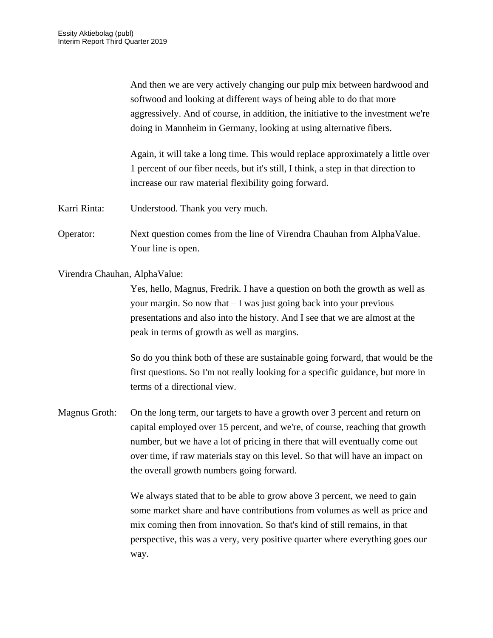And then we are very actively changing our pulp mix between hardwood and softwood and looking at different ways of being able to do that more aggressively. And of course, in addition, the initiative to the investment we're doing in Mannheim in Germany, looking at using alternative fibers.

Again, it will take a long time. This would replace approximately a little over 1 percent of our fiber needs, but it's still, I think, a step in that direction to increase our raw material flexibility going forward.

- Karri Rinta: Understood. Thank you very much.
- Operator: Next question comes from the line of Virendra Chauhan from AlphaValue. Your line is open.

Virendra Chauhan, AlphaValue:

Yes, hello, Magnus, Fredrik. I have a question on both the growth as well as your margin. So now that – I was just going back into your previous presentations and also into the history. And I see that we are almost at the peak in terms of growth as well as margins.

So do you think both of these are sustainable going forward, that would be the first questions. So I'm not really looking for a specific guidance, but more in terms of a directional view.

Magnus Groth: On the long term, our targets to have a growth over 3 percent and return on capital employed over 15 percent, and we're, of course, reaching that growth number, but we have a lot of pricing in there that will eventually come out over time, if raw materials stay on this level. So that will have an impact on the overall growth numbers going forward.

> We always stated that to be able to grow above 3 percent, we need to gain some market share and have contributions from volumes as well as price and mix coming then from innovation. So that's kind of still remains, in that perspective, this was a very, very positive quarter where everything goes our way.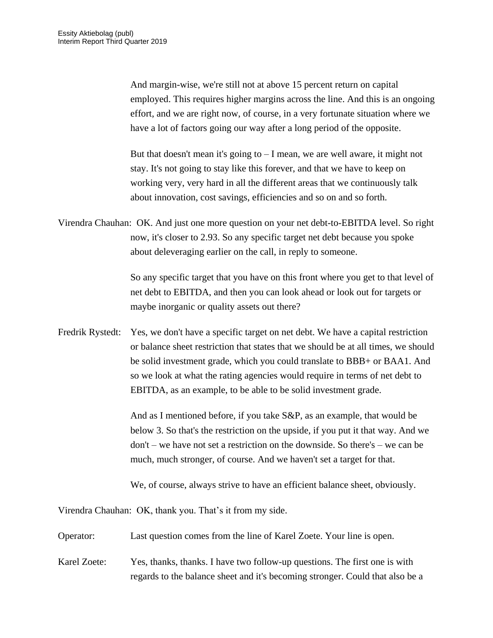And margin-wise, we're still not at above 15 percent return on capital employed. This requires higher margins across the line. And this is an ongoing effort, and we are right now, of course, in a very fortunate situation where we have a lot of factors going our way after a long period of the opposite.

But that doesn't mean it's going to  $- I$  mean, we are well aware, it might not stay. It's not going to stay like this forever, and that we have to keep on working very, very hard in all the different areas that we continuously talk about innovation, cost savings, efficiencies and so on and so forth.

Virendra Chauhan: OK. And just one more question on your net debt-to-EBITDA level. So right now, it's closer to 2.93. So any specific target net debt because you spoke about deleveraging earlier on the call, in reply to someone.

> So any specific target that you have on this front where you get to that level of net debt to EBITDA, and then you can look ahead or look out for targets or maybe inorganic or quality assets out there?

Fredrik Rystedt: Yes, we don't have a specific target on net debt. We have a capital restriction or balance sheet restriction that states that we should be at all times, we should be solid investment grade, which you could translate to BBB+ or BAA1. And so we look at what the rating agencies would require in terms of net debt to EBITDA, as an example, to be able to be solid investment grade.

> And as I mentioned before, if you take S&P, as an example, that would be below 3. So that's the restriction on the upside, if you put it that way. And we don't – we have not set a restriction on the downside. So there's – we can be much, much stronger, of course. And we haven't set a target for that.

We, of course, always strive to have an efficient balance sheet, obviously.

Virendra Chauhan: OK, thank you. That's it from my side.

Operator: Last question comes from the line of Karel Zoete. Your line is open.

Karel Zoete: Yes, thanks, thanks. I have two follow-up questions. The first one is with regards to the balance sheet and it's becoming stronger. Could that also be a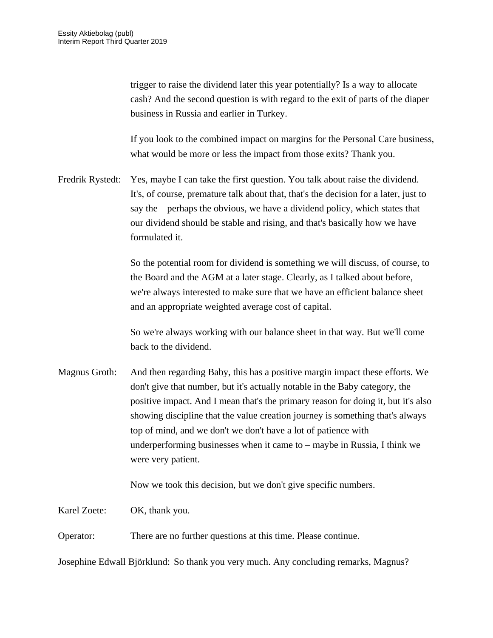trigger to raise the dividend later this year potentially? Is a way to allocate cash? And the second question is with regard to the exit of parts of the diaper business in Russia and earlier in Turkey.

If you look to the combined impact on margins for the Personal Care business, what would be more or less the impact from those exits? Thank you.

Fredrik Rystedt: Yes, maybe I can take the first question. You talk about raise the dividend. It's, of course, premature talk about that, that's the decision for a later, just to say the – perhaps the obvious, we have a dividend policy, which states that our dividend should be stable and rising, and that's basically how we have formulated it.

> So the potential room for dividend is something we will discuss, of course, to the Board and the AGM at a later stage. Clearly, as I talked about before, we're always interested to make sure that we have an efficient balance sheet and an appropriate weighted average cost of capital.

So we're always working with our balance sheet in that way. But we'll come back to the dividend.

Magnus Groth: And then regarding Baby, this has a positive margin impact these efforts. We don't give that number, but it's actually notable in the Baby category, the positive impact. And I mean that's the primary reason for doing it, but it's also showing discipline that the value creation journey is something that's always top of mind, and we don't we don't have a lot of patience with underperforming businesses when it came to – maybe in Russia, I think we were very patient.

Now we took this decision, but we don't give specific numbers.

Karel Zoete: OK, thank you.

Operator: There are no further questions at this time. Please continue.

Josephine Edwall Björklund: So thank you very much. Any concluding remarks, Magnus?